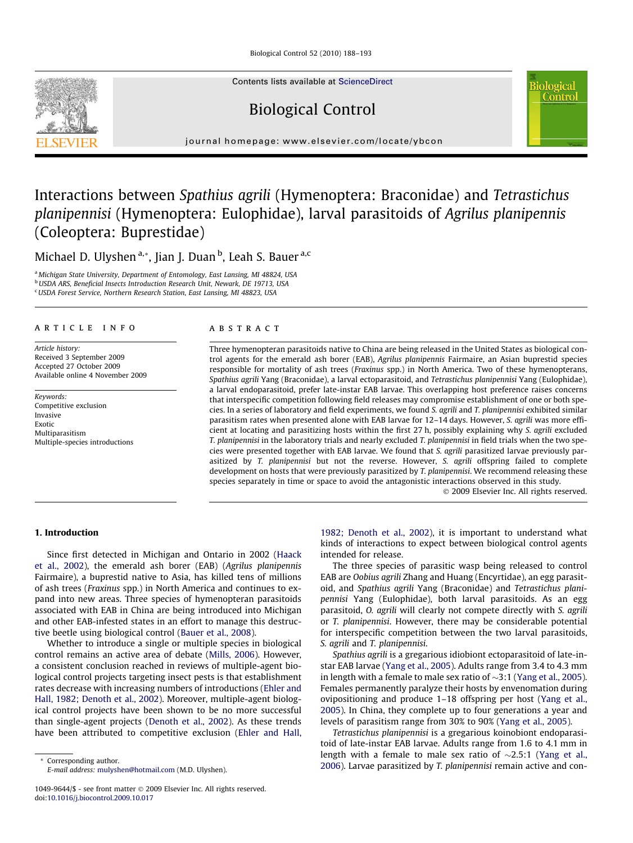Biological Control 52 (2010) 188–193

Contents lists available at [ScienceDirect](http://www.sciencedirect.com/science/journal/10499644)

# Biological Control

journal homepage: [www.elsevier.com/locate/ybcon](http://www.elsevier.com/locate/ybcon)

# Interactions between Spathius agrili (Hymenoptera: Braconidae) and Tetrastichus planipennisi (Hymenoptera: Eulophidae), larval parasitoids of Agrilus planipennis (Coleoptera: Buprestidae)

Michael D. Ulyshen <sup>a,</sup>\*, Jian J. Duan <sup>b</sup>, Leah S. Bauer <sup>a,c</sup>

<sup>a</sup> Michigan State University, Department of Entomology, East Lansing, MI 48824, USA **b** USDA ARS, Beneficial Insects Introduction Research Unit, Newark, DE 19713, USA

<sup>c</sup>USDA Forest Service, Northern Research Station, East Lansing, MI 48823, USA

# article info

Article history: Received 3 September 2009 Accepted 27 October 2009 Available online 4 November 2009

Keywords: Competitive exclusion Invasive Exotic Multiparasitism Multiple-species introductions

# ABSTRACT

Three hymenopteran parasitoids native to China are being released in the United States as biological control agents for the emerald ash borer (EAB), Agrilus planipennis Fairmaire, an Asian buprestid species responsible for mortality of ash trees (Fraxinus spp.) in North America. Two of these hymenopterans, Spathius agrili Yang (Braconidae), a larval ectoparasitoid, and Tetrastichus planipennisi Yang (Eulophidae), a larval endoparasitoid, prefer late-instar EAB larvae. This overlapping host preference raises concerns that interspecific competition following field releases may compromise establishment of one or both species. In a series of laboratory and field experiments, we found S. agrili and T. planipennisi exhibited similar parasitism rates when presented alone with EAB larvae for 12–14 days. However, S. agrili was more efficient at locating and parasitizing hosts within the first 27 h, possibly explaining why S. agrili excluded T. planipennisi in the laboratory trials and nearly excluded T. planipennisi in field trials when the two species were presented together with EAB larvae. We found that S. agrili parasitized larvae previously parasitized by T. planipennisi but not the reverse. However, S. agrili offspring failed to complete development on hosts that were previously parasitized by T. planipennisi. We recommend releasing these species separately in time or space to avoid the antagonistic interactions observed in this study.

- 2009 Elsevier Inc. All rights reserved.

iological Contro

# 1. Introduction

Since first detected in Michigan and Ontario in 2002 ([Haack](#page-5-0) [et al., 2002\)](#page-5-0), the emerald ash borer (EAB) (Agrilus planipennis Fairmaire), a buprestid native to Asia, has killed tens of millions of ash trees (Fraxinus spp.) in North America and continues to expand into new areas. Three species of hymenopteran parasitoids associated with EAB in China are being introduced into Michigan and other EAB-infested states in an effort to manage this destructive beetle using biological control [\(Bauer et al., 2008](#page-5-0)).

Whether to introduce a single or multiple species in biological control remains an active area of debate ([Mills, 2006\)](#page-5-0). However, a consistent conclusion reached in reviews of multiple-agent biological control projects targeting insect pests is that establishment rates decrease with increasing numbers of introductions [\(Ehler and](#page-5-0) [Hall, 1982; Denoth et al., 2002\)](#page-5-0). Moreover, multiple-agent biological control projects have been shown to be no more successful than single-agent projects [\(Denoth et al., 2002](#page-5-0)). As these trends have been attributed to competitive exclusion [\(Ehler and Hall,](#page-5-0)

\* Corresponding author. E-mail address: [mulyshen@hotmail.com](mailto:mulyshen@hotmail.com) (M.D. Ulyshen). [1982; Denoth et al., 2002](#page-5-0)), it is important to understand what kinds of interactions to expect between biological control agents intended for release.

The three species of parasitic wasp being released to control EAB are Oobius agrili Zhang and Huang (Encyrtidae), an egg parasitoid, and Spathius agrili Yang (Braconidae) and Tetrastichus planipennisi Yang (Eulophidae), both larval parasitoids. As an egg parasitoid, O. agrili will clearly not compete directly with S. agrili or T. planipennisi. However, there may be considerable potential for interspecific competition between the two larval parasitoids, S. agrili and T. planipennisi.

Spathius agrili is a gregarious idiobiont ectoparasitoid of late-instar EAB larvae ([Yang et al., 2005](#page-5-0)). Adults range from 3.4 to 4.3 mm in length with a female to male sex ratio of  $\sim$ 3:1 ([Yang et al., 2005\)](#page-5-0). Females permanently paralyze their hosts by envenomation during ovipositioning and produce 1–18 offspring per host [\(Yang et al.,](#page-5-0) [2005\)](#page-5-0). In China, they complete up to four generations a year and levels of parasitism range from 30% to 90% ([Yang et al., 2005\)](#page-5-0).

Tetrastichus planipennisi is a gregarious koinobiont endoparasitoid of late-instar EAB larvae. Adults range from 1.6 to 4.1 mm in length with a female to male sex ratio of  $\sim$ 2.5:1 ([Yang et al.,](#page-5-0) [2006\)](#page-5-0). Larvae parasitized by T. planipennisi remain active and con-



<sup>1049-9644/\$ -</sup> see front matter © 2009 Elsevier Inc. All rights reserved. doi:[10.1016/j.biocontrol.2009.10.017](http://dx.doi.org/10.1016/j.biocontrol.2009.10.017)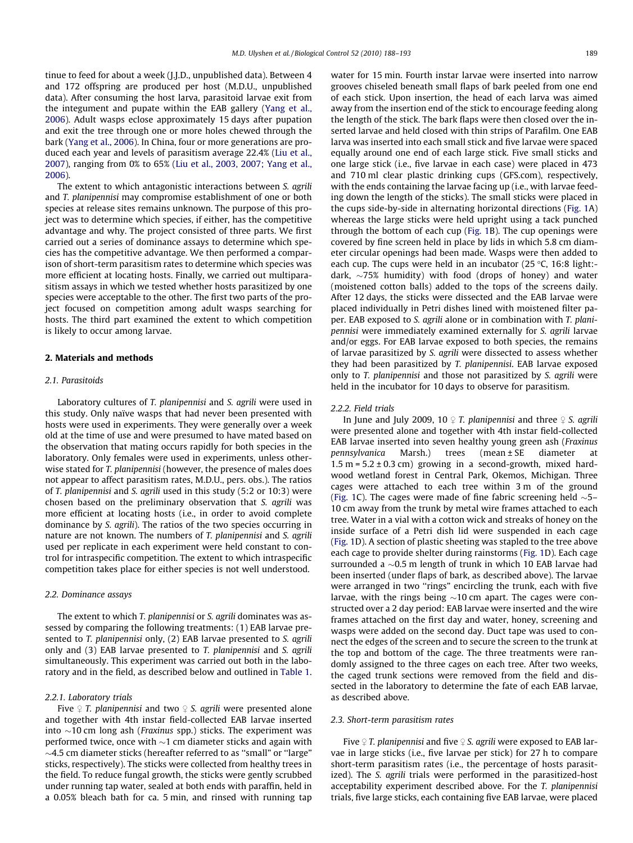<span id="page-1-0"></span>tinue to feed for about a week (J.J.D., unpublished data). Between 4 and 172 offspring are produced per host (M.D.U., unpublished data). After consuming the host larva, parasitoid larvae exit from the integument and pupate within the EAB gallery ([Yang et al.,](#page-5-0) [2006](#page-5-0)). Adult wasps eclose approximately 15 days after pupation and exit the tree through one or more holes chewed through the bark [\(Yang et al., 2006](#page-5-0)). In China, four or more generations are produced each year and levels of parasitism average 22.4% ([Liu et al.,](#page-5-0) [2007](#page-5-0)), ranging from 0% to 65% [\(Liu et al., 2003, 2007; Yang et al.,](#page-5-0) [2006](#page-5-0)).

The extent to which antagonistic interactions between S. agrili and T. planipennisi may compromise establishment of one or both species at release sites remains unknown. The purpose of this project was to determine which species, if either, has the competitive advantage and why. The project consisted of three parts. We first carried out a series of dominance assays to determine which species has the competitive advantage. We then performed a comparison of short-term parasitism rates to determine which species was more efficient at locating hosts. Finally, we carried out multiparasitism assays in which we tested whether hosts parasitized by one species were acceptable to the other. The first two parts of the project focused on competition among adult wasps searching for hosts. The third part examined the extent to which competition is likely to occur among larvae.

# 2. Materials and methods

# 2.1. Parasitoids

Laboratory cultures of T. planipennisi and S. agrili were used in this study. Only naïve wasps that had never been presented with hosts were used in experiments. They were generally over a week old at the time of use and were presumed to have mated based on the observation that mating occurs rapidly for both species in the laboratory. Only females were used in experiments, unless otherwise stated for T. planipennisi (however, the presence of males does not appear to affect parasitism rates, M.D.U., pers. obs.). The ratios of T. planipennisi and S. agrili used in this study (5:2 or 10:3) were chosen based on the preliminary observation that S. agrili was more efficient at locating hosts (i.e., in order to avoid complete dominance by S. agrili). The ratios of the two species occurring in nature are not known. The numbers of T. planipennisi and S. agrili used per replicate in each experiment were held constant to control for intraspecific competition. The extent to which intraspecific competition takes place for either species is not well understood.

# 2.2. Dominance assays

The extent to which T. planipennisi or S. agrili dominates was assessed by comparing the following treatments: (1) EAB larvae presented to T. planipennisi only, (2) EAB larvae presented to S. agrili only and (3) EAB larvae presented to T. planipennisi and S. agrili simultaneously. This experiment was carried out both in the laboratory and in the field, as described below and outlined in [Table 1.](#page-2-0)

## 2.2.1. Laboratory trials

Five  $\varphi$  T. planipennisi and two  $\varphi$  S. agrili were presented alone and together with 4th instar field-collected EAB larvae inserted into  ${\sim}10\,\mathrm{cm}$  long ash (*Fraxinus s*pp.) sticks. The experiment was performed twice, once with  ${\sim}$ 1 cm diameter sticks and again with  $\sim$ 4.5 cm diameter sticks (hereafter referred to as "small" or "large" sticks, respectively). The sticks were collected from healthy trees in the field. To reduce fungal growth, the sticks were gently scrubbed under running tap water, sealed at both ends with paraffin, held in a 0.05% bleach bath for ca. 5 min, and rinsed with running tap water for 15 min. Fourth instar larvae were inserted into narrow grooves chiseled beneath small flaps of bark peeled from one end of each stick. Upon insertion, the head of each larva was aimed away from the insertion end of the stick to encourage feeding along the length of the stick. The bark flaps were then closed over the inserted larvae and held closed with thin strips of Parafilm. One EAB larva was inserted into each small stick and five larvae were spaced equally around one end of each large stick. Five small sticks and one large stick (i.e., five larvae in each case) were placed in 473 and 710 ml clear plastic drinking cups (GFS.com), respectively, with the ends containing the larvae facing up (i.e., with larvae feeding down the length of the sticks). The small sticks were placed in the cups side-by-side in alternating horizontal directions ([Fig. 1](#page-2-0)A) whereas the large sticks were held upright using a tack punched through the bottom of each cup [\(Fig. 1B](#page-2-0)). The cup openings were covered by fine screen held in place by lids in which 5.8 cm diameter circular openings had been made. Wasps were then added to each cup. The cups were held in an incubator (25  $\degree$ C, 16:8 light:dark,  $\sim$ 75% humidity) with food (drops of honey) and water (moistened cotton balls) added to the tops of the screens daily. After 12 days, the sticks were dissected and the EAB larvae were placed individually in Petri dishes lined with moistened filter paper. EAB exposed to S. agrili alone or in combination with T. planipennisi were immediately examined externally for S. agrili larvae and/or eggs. For EAB larvae exposed to both species, the remains of larvae parasitized by S. agrili were dissected to assess whether they had been parasitized by T. planipennisi. EAB larvae exposed only to T. planipennisi and those not parasitized by S. agrili were held in the incubator for 10 days to observe for parasitism.

#### 2.2.2. Field trials

In June and July 2009, 10  $\circ$  T. planipennisi and three  $\circ$  S. agrili were presented alone and together with 4th instar field-collected EAB larvae inserted into seven healthy young green ash (Fraxinus pennsylvanica Marsh.) trees (mean ± SE diameter at  $1.5$  m =  $5.2 \pm 0.3$  cm) growing in a second-growth, mixed hardwood wetland forest in Central Park, Okemos, Michigan. Three cages were attached to each tree within 3 m of the ground ([Fig. 1C](#page-2-0)). The cages were made of fine fabric screening held  $\sim$ 5– 10 cm away from the trunk by metal wire frames attached to each tree. Water in a vial with a cotton wick and streaks of honey on the inside surface of a Petri dish lid were suspended in each cage ([Fig. 1](#page-2-0)D). A section of plastic sheeting was stapled to the tree above each cage to provide shelter during rainstorms ([Fig. 1D](#page-2-0)). Each cage surrounded a  $\sim$ 0.5 m length of trunk in which 10 EAB larvae had been inserted (under flaps of bark, as described above). The larvae were arranged in two "rings" encircling the trunk, each with five larvae, with the rings being  $\sim$ 10 cm apart. The cages were constructed over a 2 day period: EAB larvae were inserted and the wire frames attached on the first day and water, honey, screening and wasps were added on the second day. Duct tape was used to connect the edges of the screen and to secure the screen to the trunk at the top and bottom of the cage. The three treatments were randomly assigned to the three cages on each tree. After two weeks, the caged trunk sections were removed from the field and dissected in the laboratory to determine the fate of each EAB larvae, as described above.

# 2.3. Short-term parasitism rates

Five  $\varphi$  T. planipennisi and five  $\varphi$  S. agrili were exposed to EAB larvae in large sticks (i.e., five larvae per stick) for 27 h to compare short-term parasitism rates (i.e., the percentage of hosts parasitized). The S. agrili trials were performed in the parasitized-host acceptability experiment described above. For the T. planipennisi trials, five large sticks, each containing five EAB larvae, were placed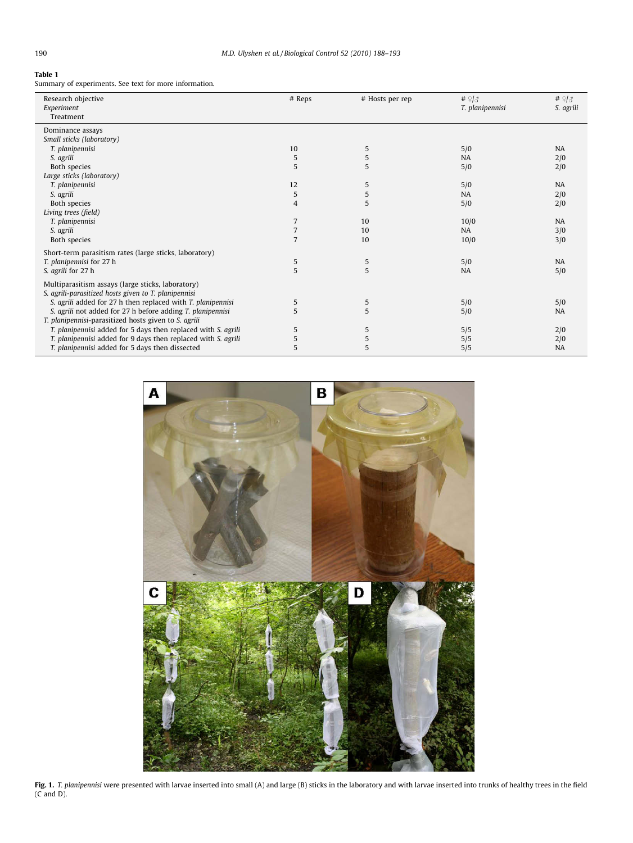# <span id="page-2-0"></span>Table 1

Summary of experiments. See text for more information.

| Research objective<br>Experiment<br>Treatment                                                             | # Reps         | # Hosts per rep | $# \frac{9}{3}$<br>T. planipennisi | # $\frac{9}{3}$<br>S. agrili |
|-----------------------------------------------------------------------------------------------------------|----------------|-----------------|------------------------------------|------------------------------|
| Dominance assays                                                                                          |                |                 |                                    |                              |
| Small sticks (laboratory)                                                                                 |                |                 |                                    |                              |
| T. planipennisi                                                                                           | 10             | 5               | 5/0                                | <b>NA</b>                    |
| S. agrili                                                                                                 | 5              | 5               | <b>NA</b>                          | 2/0                          |
| Both species                                                                                              | 5              | 5               | 5/0                                | 2/0                          |
| Large sticks (laboratory)                                                                                 |                |                 |                                    |                              |
| T. planipennisi                                                                                           | 12             | 5               | 5/0                                | <b>NA</b>                    |
| S. agrili                                                                                                 | 5              | 5               | <b>NA</b>                          | 2/0                          |
| Both species                                                                                              | $\overline{4}$ | 5               | 5/0                                | 2/0                          |
| Living trees (field)                                                                                      |                |                 |                                    |                              |
| T. planipennisi                                                                                           | 7              | 10              | 10/0                               | <b>NA</b>                    |
| S. agrili                                                                                                 | 7              | 10              | NA.                                | 3/0                          |
| Both species                                                                                              | $\overline{7}$ | 10              | 10/0                               | 3/0                          |
| Short-term parasitism rates (large sticks, laboratory)                                                    |                |                 |                                    |                              |
| T. planipennisi for 27 h                                                                                  | 5              | 5               | 5/0                                | <b>NA</b>                    |
| S. agrili for 27 h                                                                                        | 5              | 5               | <b>NA</b>                          | 5/0                          |
| Multiparasitism assays (large sticks, laboratory)<br>S. agrili-parasitized hosts given to T. planipennisi |                |                 |                                    |                              |
| S. agrili added for 27 h then replaced with T. planipennisi                                               | 5              | 5               | 5/0                                | 5/0                          |
| S. agrili not added for 27 h before adding T. planipennisi                                                | 5              | 5               | 5/0                                | <b>NA</b>                    |
| T. planipennisi-parasitized hosts given to S. agrili                                                      |                |                 |                                    |                              |
| T. planipennisi added for 5 days then replaced with S. agrili                                             | 5              | 5               | 5/5                                | 2/0                          |
| T. planipennisi added for 9 days then replaced with S. agrili                                             | 5              | 5               | 5/5                                | 2/0                          |
| T. planipennisi added for 5 days then dissected                                                           | 5              | 5               | 5/5                                | <b>NA</b>                    |



**Fig. 1.** T. planipennisi were presented with larvae inserted into small (A) and large (B) sticks in the laboratory and with larvae inserted into trunks of healthy trees in the field (C and D).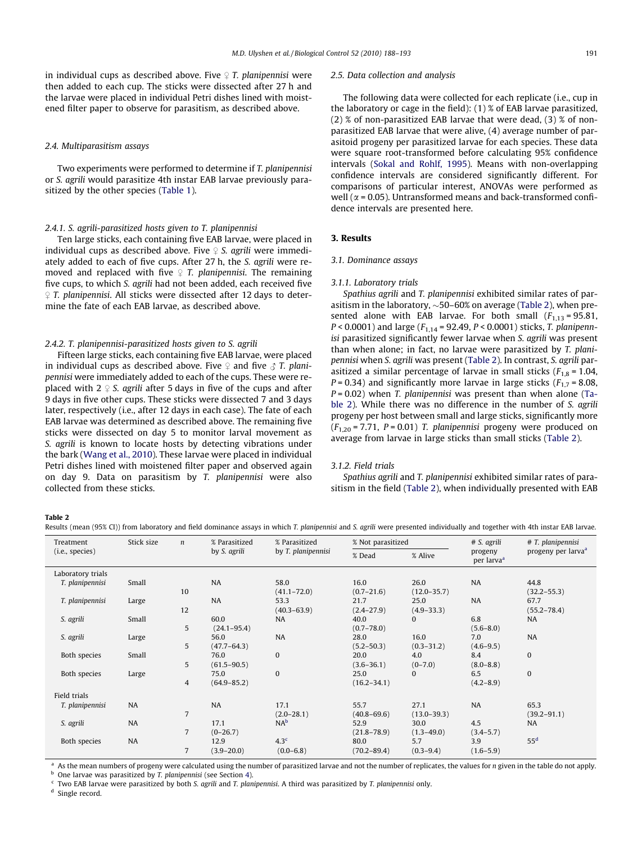<span id="page-3-0"></span>in individual cups as described above. Five  $\mathfrak{D}$  T. planipennisi were then added to each cup. The sticks were dissected after 27 h and the larvae were placed in individual Petri dishes lined with moistened filter paper to observe for parasitism, as described above.

## 2.4. Multiparasitism assays

Two experiments were performed to determine if T. planipennisi or S. agrili would parasitize 4th instar EAB larvae previously parasitized by the other species [\(Table 1](#page-2-0)).

# 2.4.1. S. agrili-parasitized hosts given to T. planipennisi

Ten large sticks, each containing five EAB larvae, were placed in individual cups as described above. Five  $\varphi$  S. agrili were immediately added to each of five cups. After 27 h, the S. agrili were removed and replaced with five  $\varphi$  T. planipennisi. The remaining five cups, to which S. agrili had not been added, each received five  $\Omega$  T. planipennisi. All sticks were dissected after 12 days to determine the fate of each EAB larvae, as described above.

# 2.4.2. T. planipennisi-parasitized hosts given to S. agrili

Fifteen large sticks, each containing five EAB larvae, were placed in individual cups as described above. Five  $\varphi$  and five  $\varphi$  T. planipennisi were immediately added to each of the cups. These were replaced with  $2 \sqrt{2}$  S. agrili after 5 days in five of the cups and after 9 days in five other cups. These sticks were dissected 7 and 3 days later, respectively (i.e., after 12 days in each case). The fate of each EAB larvae was determined as described above. The remaining five sticks were dissected on day 5 to monitor larval movement as S. agrili is known to locate hosts by detecting vibrations under the bark ([Wang et al., 2010](#page-5-0)). These larvae were placed in individual Petri dishes lined with moistened filter paper and observed again on day 9. Data on parasitism by T. planipennisi were also collected from these sticks.

## 2.5. Data collection and analysis

The following data were collected for each replicate (i.e., cup in the laboratory or cage in the field): (1) % of EAB larvae parasitized, (2) % of non-parasitized EAB larvae that were dead, (3) % of nonparasitized EAB larvae that were alive, (4) average number of parasitoid progeny per parasitized larvae for each species. These data were square root-transformed before calculating 95% confidence intervals ([Sokal and Rohlf, 1995\)](#page-5-0). Means with non-overlapping confidence intervals are considered significantly different. For comparisons of particular interest, ANOVAs were performed as well ( $\alpha$  = 0.05). Untransformed means and back-transformed confidence intervals are presented here.

# 3. Results

# 3.1. Dominance assays

### 3.1.1. Laboratory trials

Spathius agrili and T. planipennisi exhibited similar rates of parasitism in the laboratory,  ${\sim}50$ –60% on average (Table 2), when presented alone with EAB larvae. For both small  $(F_{1,13} = 95.81,$  $P < 0.0001$ ) and large ( $F_{1,14}$  = 92.49,  $P < 0.0001$ ) sticks, T. planipennisi parasitized significantly fewer larvae when S. agrili was present than when alone; in fact, no larvae were parasitized by T. planipennisi when S. agrili was present (Table 2). In contrast, S. agrili parasitized a similar percentage of larvae in small sticks ( $F_{1,8}$  = 1.04,  $P = 0.34$ ) and significantly more larvae in large sticks ( $F_{1,7} = 8.08$ ,  $P = 0.02$ ) when T. planipennisi was present than when alone (Table 2). While there was no difference in the number of S. agrili progeny per host between small and large sticks, significantly more  $(F_{1,20} = 7.71, P = 0.01)$  T. planipennisi progeny were produced on average from larvae in large sticks than small sticks (Table 2).

### 3.1.2. Field trials

Spathius agrili and T. planipennisi exhibited similar rates of parasitism in the field (Table 2), when individually presented with EAB

## Table 2

Results (mean (95% CI)) from laboratory and field dominance assays in which T. planipennisi and S. agrili were presented individually and together with 4th instar EAB larvae.

| Treatment         | Stick size | $\boldsymbol{n}$ | % Parasitized   | % Parasitized      | % Not parasitized |                 | # S. agrili                       | # T. planipennisi<br>progeny per larva <sup>a</sup> |
|-------------------|------------|------------------|-----------------|--------------------|-------------------|-----------------|-----------------------------------|-----------------------------------------------------|
| (i.e., species)   |            |                  | by S. agrili    | by T. planipennisi | % Dead            | % Alive         | progeny<br>per larva <sup>a</sup> |                                                     |
| Laboratory trials |            |                  |                 |                    |                   |                 |                                   |                                                     |
| T. planipennisi   | Small      |                  | <b>NA</b>       | 58.0               | 16.0              | 26.0            | <b>NA</b>                         | 44.8                                                |
|                   |            | 10               |                 | $(41.1 - 72.0)$    | $(0.7 - 21.6)$    | $(12.0 - 35.7)$ |                                   | $(32.2 - 55.3)$                                     |
| T. planipennisi   | Large      |                  | <b>NA</b>       | 53.3               | 21.7              | 25.0            | <b>NA</b>                         | 67.7                                                |
|                   |            | 12               |                 | $(40.3 - 63.9)$    | $(2.4 - 27.9)$    | $(4.9 - 33.3)$  |                                   | $(55.2 - 78.4)$                                     |
| S. agrili         | Small      |                  | 60.0            | <b>NA</b>          | 40.0              | $\mathbf{0}$    | 6.8                               | <b>NA</b>                                           |
|                   |            | 5                | $(24.1 - 95.4)$ |                    | $(0.7 - 78.0)$    |                 | $(5.6 - 8.0)$                     |                                                     |
| S. agrili         | Large      |                  | 56.0            | <b>NA</b>          | 28.0              | 16.0            | 7.0                               | <b>NA</b>                                           |
|                   |            | 5                | $(47.7 - 64.3)$ |                    | $(5.2 - 50.3)$    | $(0.3 - 31.2)$  | $(4.6 - 9.5)$                     |                                                     |
| Both species      | Small      |                  | 76.0            | $\mathbf{0}$       | 20.0              | 4.0             | 8.4                               | $\bf{0}$                                            |
|                   |            | 5                | $(61.5 - 90.5)$ |                    | $(3.6 - 36.1)$    | $(0-7.0)$       | $(8.0 - 8.8)$                     |                                                     |
| Both species      | Large      |                  | 75.0            | $\mathbf{0}$       | 25.0              | $\mathbf{0}$    | 6.5                               | $\mathbf{0}$                                        |
|                   |            | 4                | $(64.9 - 85.2)$ |                    | $(16.2 - 34.1)$   |                 | $(4.2 - 8.9)$                     |                                                     |
| Field trials      |            |                  |                 |                    |                   |                 |                                   |                                                     |
| T. planipennisi   | <b>NA</b>  |                  | <b>NA</b>       | 17.1               | 55.7              | 27.1            | <b>NA</b>                         | 65.3                                                |
|                   |            | $\overline{7}$   |                 | $(2.0 - 28.1)$     | $(40.8 - 69.6)$   | $(13.0 - 39.3)$ |                                   | $(39.2 - 91.1)$                                     |
| S. agrili         | NA         |                  | 17.1            | $NA^b$             | 52.9              | 30.0            | 4.5                               | <b>NA</b>                                           |
|                   |            | $\overline{7}$   | $(0-26.7)$      |                    | $(21.8 - 78.9)$   | $(1.3 - 49.0)$  | $(3.4 - 5.7)$                     |                                                     |
| Both species      | NA         |                  | 12.9            | 4.3 <sup>c</sup>   | 80.0              | 5.7             | 3.9                               | 55 <sup>d</sup>                                     |
|                   |            | $\overline{7}$   | $(3.9 - 20.0)$  | $(0.0 - 6.8)$      | $(70.2 - 89.4)$   | $(0.3 - 9.4)$   | $(1.6 - 5.9)$                     |                                                     |

<sup>a</sup> As the mean numbers of progeny were calculated using the number of parasitized larvae and not the number of replicates, the values for n given in the table do not apply.

One larvae was parasitized by T. planipennisi (see Section [4\)](#page-4-0).

Two EAB larvae were parasitized by both S. agrili and T. planipennisi. A third was parasitized by T. planipennisi only.

<sup>d</sup> Single record.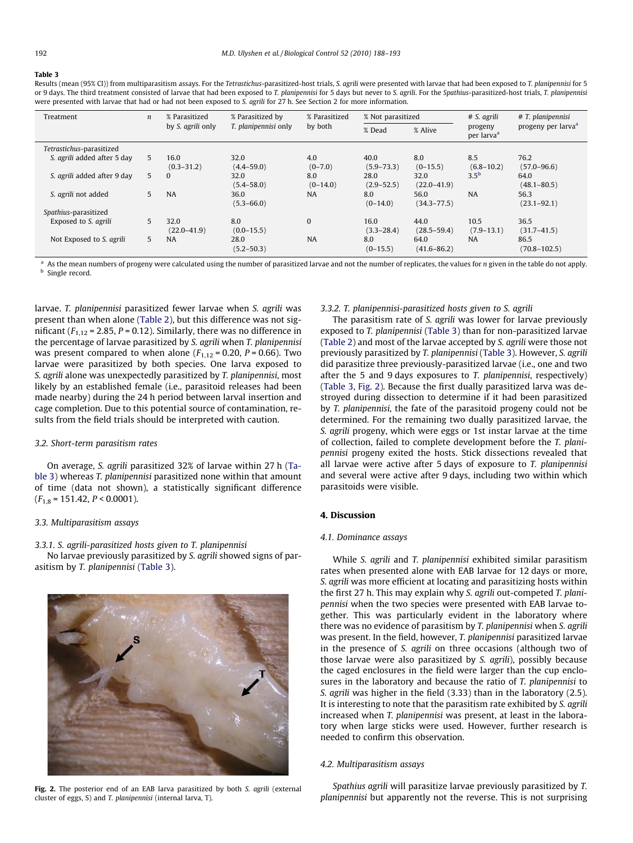#### <span id="page-4-0"></span>Table 3

Results (mean (95% CI)) from multiparasitism assays. For the Tetrastichus-parasitized-host trials, S. agrili were presented with larvae that had been exposed to T. planipennisi for 5 or 9 days. The third treatment consisted of larvae that had been exposed to T. planipennisi for 5 days but never to S. agrili. For the Spathius-parasitized-host trials, T. planipennisi were presented with larvae that had or had not been exposed to S. agrili for [2](#page-1-0)7 h. See Section 2 for more information.

| Treatment                   | $\boldsymbol{n}$ | % Parasitized           | % Parasitized by            | % Parasitized     | % Not parasitized      |                         | # S. agrili<br>progeny<br>per larva <sup>a</sup> | # T. planipennisi<br>progeny per larva <sup>a</sup> |
|-----------------------------|------------------|-------------------------|-----------------------------|-------------------|------------------------|-------------------------|--------------------------------------------------|-----------------------------------------------------|
|                             |                  | by S. agrili only       | <i>T. planipennisi</i> only | by both           | % Dead                 | % Alive                 |                                                  |                                                     |
| Tetrastichus-parasitized    |                  |                         |                             |                   |                        |                         |                                                  |                                                     |
| S. agrili added after 5 day | 5                | 16.0<br>$(0.3 - 31.2)$  | 32.0<br>$(4.4 - 59.0)$      | 4.0<br>$(0-7.0)$  | 40.0<br>$(5.9 - 73.3)$ | 8.0<br>$(0-15.5)$       | 8.5<br>$(6.8 - 10.2)$                            | 76.2<br>$(57.0 - 96.6)$                             |
| S. agrili added after 9 day | 5                | $\mathbf{0}$            | 32.0<br>$(5.4 - 58.0)$      | 8.0<br>$(0-14.0)$ | 28.0<br>$(2.9 - 52.5)$ | 32.0<br>$(22.0 - 41.9)$ | 3.5 <sup>b</sup>                                 | 64.0<br>$(48.1 - 80.5)$                             |
| S. agrili not added         | 5                | <b>NA</b>               | 36.0<br>$(5.3 - 66.0)$      | <b>NA</b>         | 8.0<br>$(0-14.0)$      | 56.0<br>$(34.3 - 77.5)$ | <b>NA</b>                                        | 56.3<br>$(23.1 - 92.1)$                             |
| Spathius-parasitized        |                  |                         |                             |                   |                        |                         |                                                  |                                                     |
| Exposed to S. agrili        | 5                | 32.0<br>$(22.0 - 41.9)$ | 8.0<br>$(0.0 - 15.5)$       | $\Omega$          | 16.0<br>$(3.3 - 28.4)$ | 44.0<br>$(28.5 - 59.4)$ | 10.5<br>$(7.9 - 13.1)$                           | 36.5<br>$(31.7 - 41.5)$                             |
| Not Exposed to S. agrili    | 5                | <b>NA</b>               | 28.0<br>$(5.2 - 50.3)$      | <b>NA</b>         | 8.0<br>$(0-15.5)$      | 64.0<br>$(41.6 - 86.2)$ | <b>NA</b>                                        | 86.5<br>$(70.8 - 102.5)$                            |

<sup>a</sup> As the mean numbers of progeny were calculated using the number of parasitized larvae and not the number of replicates, the values for *n* given in the table do not apply. **b** Single record.

larvae. T. planipennisi parasitized fewer larvae when S. agrili was present than when alone ([Table 2](#page-3-0)), but this difference was not significant ( $F_{1,12}$  = 2.85, P = 0.12). Similarly, there was no difference in the percentage of larvae parasitized by S. agrili when T. planipennisi was present compared to when alone  $(F<sub>1,12</sub> = 0.20, P = 0.66)$ . Two larvae were parasitized by both species. One larva exposed to S. agrili alone was unexpectedly parasitized by T. planipennisi, most likely by an established female (i.e., parasitoid releases had been made nearby) during the 24 h period between larval insertion and cage completion. Due to this potential source of contamination, results from the field trials should be interpreted with caution.

# 3.2. Short-term parasitism rates

On average, S. agrili parasitized 32% of larvae within 27 h (Table 3) whereas T. planipennisi parasitized none within that amount of time (data not shown), a statistically significant difference  $(F_{1,8} = 151.42, P < 0.0001).$ 

# 3.3. Multiparasitism assays

3.3.1. S. agrili-parasitized hosts given to T. planipennisi

No larvae previously parasitized by S. agrili showed signs of parasitism by T. planipennisi (Table 3).



Fig. 2. The posterior end of an EAB larva parasitized by both S. agrili (external cluster of eggs, S) and T. planipennisi (internal larva, T).

# 3.3.2. T. planipennisi-parasitized hosts given to S. agrili

The parasitism rate of S. agrili was lower for larvae previously exposed to T. planipennisi (Table 3) than for non-parasitized larvae ([Table 2\)](#page-3-0) and most of the larvae accepted by S. agrili were those not previously parasitized by T. planipennisi (Table 3). However, S. agrili did parasitize three previously-parasitized larvae (i.e., one and two after the 5 and 9 days exposures to T. planipennisi, respectively) (Table 3, Fig. 2). Because the first dually parasitized larva was destroyed during dissection to determine if it had been parasitized by T. planipennisi, the fate of the parasitoid progeny could not be determined. For the remaining two dually parasitized larvae, the S. agrili progeny, which were eggs or 1st instar larvae at the time of collection, failed to complete development before the T. planipennisi progeny exited the hosts. Stick dissections revealed that all larvae were active after 5 days of exposure to T. planipennisi and several were active after 9 days, including two within which parasitoids were visible.

# 4. Discussion

# 4.1. Dominance assays

While S. agrili and T. planipennisi exhibited similar parasitism rates when presented alone with EAB larvae for 12 days or more, S. agrili was more efficient at locating and parasitizing hosts within the first 27 h. This may explain why S. agrili out-competed T. planipennisi when the two species were presented with EAB larvae together. This was particularly evident in the laboratory where there was no evidence of parasitism by T. planipennisi when S. agrili was present. In the field, however, T. planipennisi parasitized larvae in the presence of S. agrili on three occasions (although two of those larvae were also parasitized by S. agrili), possibly because the caged enclosures in the field were larger than the cup enclosures in the laboratory and because the ratio of T. planipennisi to S. agrili was higher in the field (3.33) than in the laboratory (2.5). It is interesting to note that the parasitism rate exhibited by S. agrili increased when T. planipennisi was present, at least in the laboratory when large sticks were used. However, further research is needed to confirm this observation.

# 4.2. Multiparasitism assays

Spathius agrili will parasitize larvae previously parasitized by T. planipennisi but apparently not the reverse. This is not surprising